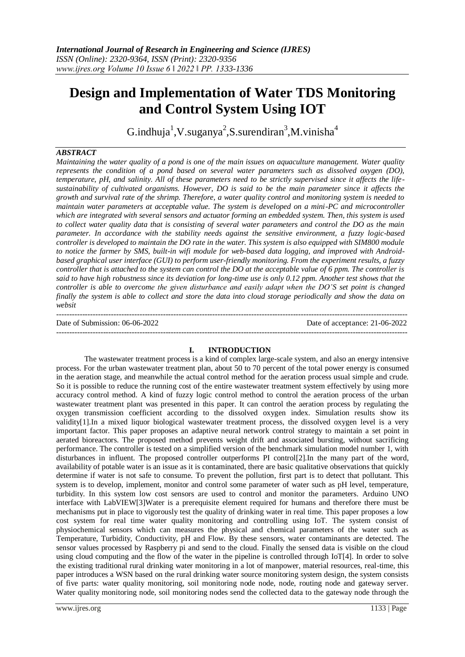## **Design and Implementation of Water TDS Monitoring and Control System Using IOT**

G.indhuja<sup>1</sup>,V.suganya<sup>2</sup>,S.surendiran<sup>3</sup>,M.vinisha<sup>4</sup>

### *ABSTRACT*

*Maintaining the water quality of a pond is one of the main issues on aquaculture management. Water quality represents the condition of a pond based on several water parameters such as dissolved oxygen (DO), temperature, pH, and salinity. All of these parameters need to be strictly supervised since it affects the lifesustainability of cultivated organisms. However, DO is said to be the main parameter since it affects the growth and survival rate of the shrimp. Therefore, a water quality control and monitoring system is needed to maintain water parameters at acceptable value. The system is developed on a mini-PC and microcontroller which are integrated with several sensors and actuator forming an embedded system. Then, this system is used to collect water quality data that is consisting of several water parameters and control the DO as the main parameter. In accordance with the stability needs against the sensitive environment, a fuzzy logic-based controller is developed to maintain the DO rate in the water. This system is also equipped with SIM800 module to notice the farmer by SMS, built-in wifi module for web-based data logging, and improved with Androidbased graphical user interface (GUI) to perform user-friendly monitoring. From the experiment results, a fuzzy controller that is attached to the system can control the DO at the acceptable value of 6 ppm. The controller is said to have high robustness since its deviation for long-time use is only 0.12 ppm. Another test shows that the controller is able to overcome the given disturbance and easily adapt when the DO'S set point is changed finally the system is able to collect and store the data into cloud storage periodically and show the data on websit*

--------------------------------------------------------------------------------------------------------------------------------------- Date of Submission: 06-06-2022 Date of acceptance: 21-06-2022 ---------------------------------------------------------------------------------------------------------------------------------------

#### **I. INTRODUCTION**

The wastewater treatment process is a kind of complex large-scale system, and also an energy intensive process. For the urban wastewater treatment plan, about 50 to 70 percent of the total power energy is consumed in the aeration stage, and meanwhile the actual control method for the aeration process usual simple and crude. So it is possible to reduce the running cost of the entire wastewater treatment system effectively by using more accuracy control method. A kind of fuzzy logic control method to control the aeration process of the urban wastewater treatment plant was presented in this paper. It can control the aeration process by regulating the oxygen transmission coefficient according to the dissolved oxygen index. Simulation results show its validity[1].In a mixed liquor biological wastewater treatment process, the dissolved oxygen level is a very important factor. This paper proposes an adaptive neural network control strategy to maintain a set point in aerated bioreactors. The proposed method prevents weight drift and associated bursting, without sacrificing performance. The controller is tested on a simplified version of the benchmark simulation model number 1, with disturbances in influent. The proposed controller outperforms PI control[2].In the many part of the word, availability of potable water is an issue as it is contaminated, there are basic qualitative observations that quickly determine if water is not safe to consume. To prevent the pollution, first part is to detect that pollutant. This system is to develop, implement, monitor and control some parameter of water such as pH level, temperature, turbidity. In this system low cost sensors are used to control and monitor the parameters. Arduino UNO interface with LabVIEW[3]Water is a prerequisite element required for humans and therefore there must be mechanisms put in place to vigorously test the quality of drinking water in real time. This paper proposes a low cost system for real time water quality monitoring and controlling using IoT. The system consist of physiochemical sensors which can measures the physical and chemical parameters of the water such as Temperature, Turbidity, Conductivity, pH and Flow. By these sensors, water contaminants are detected. The sensor values processed by Raspberry pi and send to the cloud. Finally the sensed data is visible on the cloud using cloud computing and the flow of the water in the pipeline is controlled through IoT[4]. In order to solve the existing traditional rural drinking water monitoring in a lot of manpower, material resources, real-time, this paper introduces a WSN based on the rural drinking water source monitoring system design, the system consists of five parts: water quality monitoring, soil monitoring node node, node, routing node and gateway server. Water quality monitoring node, soil monitoring nodes send the collected data to the gateway node through the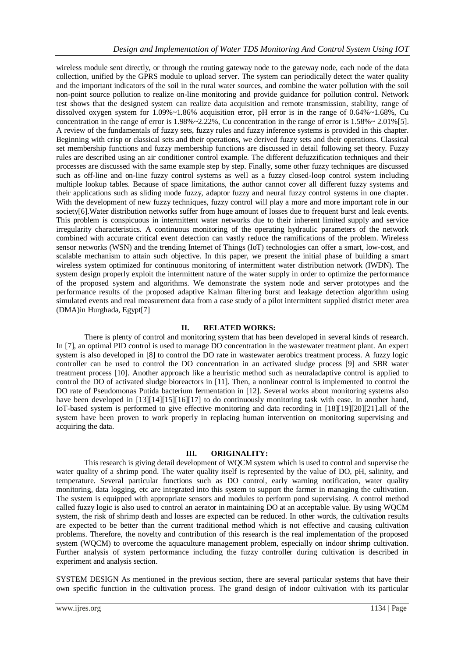wireless module sent directly, or through the routing gateway node to the gateway node, each node of the data collection, unified by the GPRS module to upload server. The system can periodically detect the water quality and the important indicators of the soil in the rural water sources, and combine the water pollution with the soil non-point source pollution to realize on-line monitoring and provide guidance for pollution control. Network test shows that the designed system can realize data acquisition and remote transmission, stability, range of dissolved oxygen system for 1.09%~1.86% acquisition error, pH error is in the range of 0.64%~1.68%, Cu concentration in the range of error is  $1.98\% \approx 2.22\%$ , Cu concentration in the range of error is  $1.58\% \approx 2.01\%$  [5]. A review of the fundamentals of fuzzy sets, fuzzy rules and fuzzy inference systems is provided in this chapter. Beginning with crisp or classical sets and their operations, we derived fuzzy sets and their operations. Classical set membership functions and fuzzy membership functions are discussed in detail following set theory. Fuzzy rules are described using an air conditioner control example. The different defuzzification techniques and their processes are discussed with the same example step by step. Finally, some other fuzzy techniques are discussed such as off-line and on-line fuzzy control systems as well as a fuzzy closed-loop control system including multiple lookup tables. Because of space limitations, the author cannot cover all different fuzzy systems and their applications such as sliding mode fuzzy, adaptor fuzzy and neural fuzzy control systems in one chapter. With the development of new fuzzy techniques, fuzzy control will play a more and more important role in our society[6].Water distribution networks suffer from huge amount of losses due to frequent burst and leak events. This problem is conspicuous in intermittent water networks due to their inherent limited supply and service irregularity characteristics. A continuous monitoring of the operating hydraulic parameters of the network combined with accurate critical event detection can vastly reduce the ramifications of the problem. Wireless sensor networks (WSN) and the trending Internet of Things (IoT) technologies can offer a smart, low-cost, and scalable mechanism to attain such objective. In this paper, we present the initial phase of building a smart wireless system optimized for continuous monitoring of intermittent water distribution network (IWDN). The system design properly exploit the intermittent nature of the water supply in order to optimize the performance of the proposed system and algorithms. We demonstrate the system node and server prototypes and the performance results of the proposed adaptive Kalman filtering burst and leakage detection algorithm using simulated events and real measurement data from a case study of a pilot intermittent supplied district meter area (DMA)in Hurghada, Egypt[7]

#### **II. RELATED WORKS:**

There is plenty of control and monitoring system that has been developed in several kinds of research. In [7], an optimal PID control is used to manage DO concentration in the wastewater treatment plant. An expert system is also developed in [8] to control the DO rate in wastewater aerobics treatment process. A fuzzy logic controller can be used to control the DO concentration in an activated sludge process [9] and SBR water treatment process [10]. Another approach like a heuristic method such as neuraladaptive control is applied to control the DO of activated sludge bioreactors in [11]. Then, a nonlinear control is implemented to control the DO rate of Pseudomonas Putida bacterium fermentation in [12]. Several works about monitoring systems also have been developed in [13][14][15][16][17] to do continuously monitoring task with ease. In another hand, IoT-based system is performed to give effective monitoring and data recording in [18][19][20][21].all of the system have been proven to work properly in replacing human intervention on monitoring supervising and acquiring the data.

#### **III. ORIGINALITY:**

This research is giving detail development of WQCM system which is used to control and supervise the water quality of a shrimp pond. The water quality itself is represented by the value of DO, pH, salinity, and temperature. Several particular functions such as DO control, early warning notification, water quality monitoring, data logging, etc are integrated into this system to support the farmer in managing the cultivation. The system is equipped with appropriate sensors and modules to perform pond supervising. A control method called fuzzy logic is also used to control an aerator in maintaining DO at an acceptable value. By using WQCM system, the risk of shrimp death and losses are expected can be reduced. In other words, the cultivation results are expected to be better than the current traditional method which is not effective and causing cultivation problems. Therefore, the novelty and contribution of this research is the real implementation of the proposed system (WQCM) to overcome the aquaculture management problem, especially on indoor shrimp cultivation. Further analysis of system performance including the fuzzy controller during cultivation is described in experiment and analysis section.

SYSTEM DESIGN As mentioned in the previous section, there are several particular systems that have their own specific function in the cultivation process. The grand design of indoor cultivation with its particular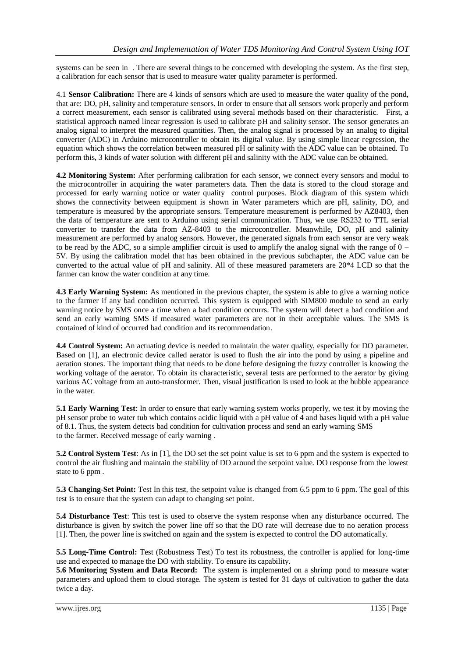systems can be seen in . There are several things to be concerned with developing the system. As the first step, a calibration for each sensor that is used to measure water quality parameter is performed.

4.1 **Sensor Calibration:** There are 4 kinds of sensors which are used to measure the water quality of the pond, that are: DO, pH, salinity and temperature sensors. In order to ensure that all sensors work properly and perform a correct measurement, each sensor is calibrated using several methods based on their characteristic. First, a statistical approach named linear regression is used to calibrate pH and salinity sensor. The sensor generates an analog signal to interpret the measured quantities. Then, the analog signal is processed by an analog to digital converter (ADC) in Arduino microcontroller to obtain its digital value. By using simple linear regression, the equation which shows the correlation between measured pH or salinity with the ADC value can be obtained. To perform this, 3 kinds of water solution with different pH and salinity with the ADC value can be obtained.

**4.2 Monitoring System:** After performing calibration for each sensor, we connect every sensors and modul to the microcontroller in acquiring the water parameters data. Then the data is stored to the cloud storage and processed for early warning notice or water quality control purposes. Block diagram of this system which shows the connectivity between equipment is shown in Water parameters which are pH, salinity, DO, and temperature is measured by the appropriate sensors. Temperature measurement is performed by AZ8403, then the data of temperature are sent to Arduino using serial communication. Thus, we use RS232 to TTL serial converter to transfer the data from AZ-8403 to the microcontroller. Meanwhile, DO, pH and salinity measurement are performed by analog sensors. However, the generated signals from each sensor are very weak to be read by the ADC, so a simple amplifier circuit is used to amplify the analog signal with the range of  $0 -$ 5V. By using the calibration model that has been obtained in the previous subchapter, the ADC value can be converted to the actual value of pH and salinity. All of these measured parameters are 20\*4 LCD so that the farmer can know the water condition at any time.

**4.3 Early Warning System:** As mentioned in the previous chapter, the system is able to give a warning notice to the farmer if any bad condition occurred. This system is equipped with SIM800 module to send an early warning notice by SMS once a time when a bad condition occurrs. The system will detect a bad condition and send an early warning SMS if measured water parameters are not in their acceptable values. The SMS is contained of kind of occurred bad condition and its recommendation.

**4.4 Control System:** An actuating device is needed to maintain the water quality, especially for DO parameter. Based on [1], an electronic device called aerator is used to flush the air into the pond by using a pipeline and aeration stones. The important thing that needs to be done before designing the fuzzy controller is knowing the working voltage of the aerator. To obtain its characteristic, several tests are performed to the aerator by giving various AC voltage from an auto-transformer. Then, visual justification is used to look at the bubble appearance in the water.

**5.1 Early Warning Test**: In order to ensure that early warning system works properly, we test it by moving the pH sensor probe to water tub which contains acidic liquid with a pH value of 4 and bases liquid with a pH value of 8.1. Thus, the system detects bad condition for cultivation process and send an early warning SMS to the farmer. Received message of early warning .

**5.2 Control System Test**: As in [1], the DO set the set point value is set to 6 ppm and the system is expected to control the air flushing and maintain the stability of DO around the setpoint value. DO response from the lowest state to 6 ppm .

**5.3 Changing-Set Point:** Test In this test, the setpoint value is changed from 6.5 ppm to 6 ppm. The goal of this test is to ensure that the system can adapt to changing set point.

**5.4 Disturbance Test**: This test is used to observe the system response when any disturbance occurred. The disturbance is given by switch the power line off so that the DO rate will decrease due to no aeration process [1]. Then, the power line is switched on again and the system is expected to control the DO automatically.

**5.5 Long-Time Control:** Test (Robustness Test) To test its robustness, the controller is applied for long-time use and expected to manage the DO with stability. To ensure its capability.

**5.6 Monitoring System and Data Record:** The system is implemented on a shrimp pond to measure water parameters and upload them to cloud storage. The system is tested for 31 days of cultivation to gather the data twice a day.